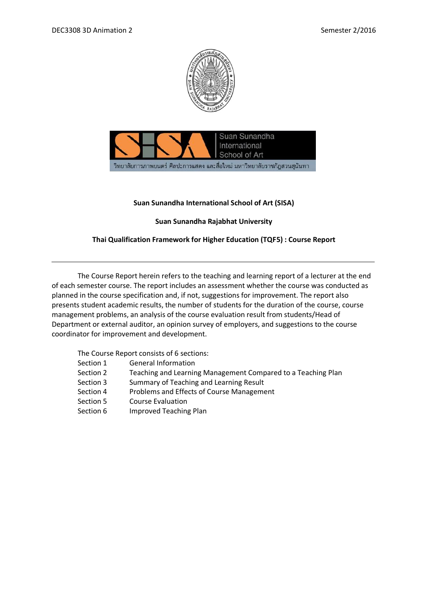



## **Suan Sunandha International School of Art (SISA)**

# **Suan Sunandha Rajabhat University**

# **Thai Qualification Framework for Higher Education (TQF5) : Course Report**

The Course Report herein refers to the teaching and learning report of a lecturer at the end of each semester course. The report includes an assessment whether the course was conducted as planned in the course specification and, if not, suggestions for improvement. The report also presents student academic results, the number of students for the duration of the course, course management problems, an analysis of the course evaluation result from students/Head of Department or external auditor, an opinion survey of employers, and suggestions to the course coordinator for improvement and development.

The Course Report consists of 6 sections:

- Section 1 General Information
- Section 2 Teaching and Learning Management Compared to a Teaching Plan
- Section 3 Summary of Teaching and Learning Result
- Section 4 Problems and Effects of Course Management
- Section 5 Course Evaluation
- Section 6 Improved Teaching Plan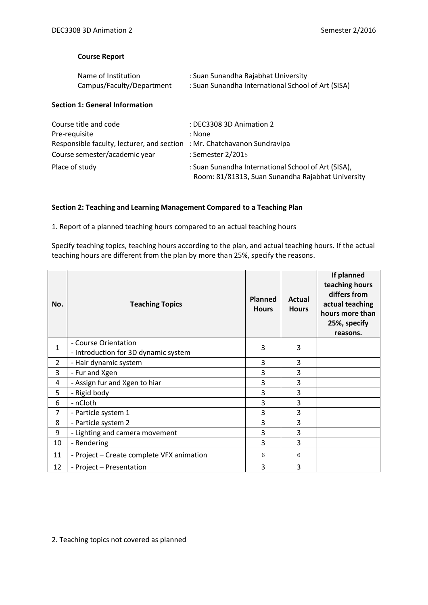## **Course Report**

| Name of Institution       | : Suan Sunandha Rajabhat University                |
|---------------------------|----------------------------------------------------|
| Campus/Faculty/Department | : Suan Sunandha International School of Art (SISA) |

### **Section 1: General Information**

| Course title and code                                                    | : DEC3308 3D Animation 2                                                                                 |
|--------------------------------------------------------------------------|----------------------------------------------------------------------------------------------------------|
| Pre-requisite                                                            | : None                                                                                                   |
| Responsible faculty, lecturer, and section : Mr. Chatchavanon Sundravipa |                                                                                                          |
| Course semester/academic year                                            | : Semester 2/2015                                                                                        |
| Place of study                                                           | : Suan Sunandha International School of Art (SISA),<br>Room: 81/81313, Suan Sunandha Rajabhat University |

## **Section 2: Teaching and Learning Management Compared to a Teaching Plan**

1. Report of a planned teaching hours compared to an actual teaching hours

Specify teaching topics, teaching hours according to the plan, and actual teaching hours. If the actual teaching hours are different from the plan by more than 25%, specify the reasons.

| No.            | <b>Teaching Topics</b>                                       | <b>Planned</b><br><b>Hours</b> | Actual<br><b>Hours</b> | If planned<br>teaching hours<br>differs from<br>actual teaching<br>hours more than<br>25%, specify<br>reasons. |
|----------------|--------------------------------------------------------------|--------------------------------|------------------------|----------------------------------------------------------------------------------------------------------------|
| $\mathbf{1}$   | - Course Orientation<br>- Introduction for 3D dynamic system | 3                              | 3                      |                                                                                                                |
| $\overline{2}$ | - Hair dynamic system                                        | 3                              | 3                      |                                                                                                                |
| 3              | - Fur and Xgen                                               | 3                              | 3                      |                                                                                                                |
| 4              | - Assign fur and Xgen to hiar                                | 3                              | 3                      |                                                                                                                |
| 5              | - Rigid body                                                 | 3                              | 3                      |                                                                                                                |
| 6              | - nCloth                                                     | 3                              | 3                      |                                                                                                                |
| $\overline{7}$ | - Particle system 1                                          | 3                              | 3                      |                                                                                                                |
| 8              | - Particle system 2                                          | 3                              | 3                      |                                                                                                                |
| 9              | - Lighting and camera movement                               | 3                              | 3                      |                                                                                                                |
| 10             | - Rendering                                                  | 3                              | 3                      |                                                                                                                |
| 11             | - Project - Create complete VFX animation                    | 6                              | 6                      |                                                                                                                |
| 12             | - Project - Presentation                                     | 3                              | 3                      |                                                                                                                |

2. Teaching topics not covered as planned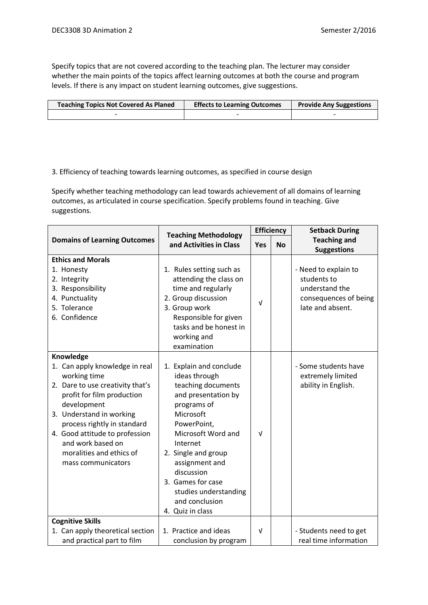Specify topics that are not covered according to the teaching plan. The lecturer may consider whether the main points of the topics affect learning outcomes at both the course and program levels. If there is any impact on student learning outcomes, give suggestions.

| <b>Teaching Topics Not Covered As Planed</b> | <b>Effects to Learning Outcomes</b> | <b>Provide Any Suggestions</b> |
|----------------------------------------------|-------------------------------------|--------------------------------|
|                                              |                                     |                                |

## 3. Efficiency of teaching towards learning outcomes, as specified in course design

Specify whether teaching methodology can lead towards achievement of all domains of learning outcomes, as articulated in course specification. Specify problems found in teaching. Give suggestions.

|                                                                                                                                                                                                                                                                                                                  | <b>Teaching Methodology</b>                                                                                                                                                                                                                                                                                   |            | <b>Efficiency</b> | <b>Setback During</b>                                                                              |
|------------------------------------------------------------------------------------------------------------------------------------------------------------------------------------------------------------------------------------------------------------------------------------------------------------------|---------------------------------------------------------------------------------------------------------------------------------------------------------------------------------------------------------------------------------------------------------------------------------------------------------------|------------|-------------------|----------------------------------------------------------------------------------------------------|
| <b>Domains of Learning Outcomes</b>                                                                                                                                                                                                                                                                              | and Activities in Class                                                                                                                                                                                                                                                                                       | <b>Yes</b> | <b>No</b>         | <b>Teaching and</b><br><b>Suggestions</b>                                                          |
| <b>Ethics and Morals</b><br>1. Honesty<br>2. Integrity<br>3. Responsibility<br>4. Punctuality<br>5. Tolerance<br>6. Confidence                                                                                                                                                                                   | 1. Rules setting such as<br>attending the class on<br>time and regularly<br>2. Group discussion<br>3. Group work<br>Responsible for given<br>tasks and be honest in<br>working and                                                                                                                            | $\sqrt{ }$ |                   | - Need to explain to<br>students to<br>understand the<br>consequences of being<br>late and absent. |
|                                                                                                                                                                                                                                                                                                                  | examination                                                                                                                                                                                                                                                                                                   |            |                   |                                                                                                    |
| Knowledge<br>1. Can apply knowledge in real<br>working time<br>2. Dare to use creativity that's<br>profit for film production<br>development<br>3. Understand in working<br>process rightly in standard<br>4. Good attitude to profession<br>and work based on<br>moralities and ethics of<br>mass communicators | 1. Explain and conclude<br>ideas through<br>teaching documents<br>and presentation by<br>programs of<br>Microsoft<br>PowerPoint,<br>Microsoft Word and<br>Internet<br>2. Single and group<br>assignment and<br>discussion<br>3. Games for case<br>studies understanding<br>and conclusion<br>4. Quiz in class | $\sqrt{ }$ |                   | - Some students have<br>extremely limited<br>ability in English.                                   |
| <b>Cognitive Skills</b>                                                                                                                                                                                                                                                                                          |                                                                                                                                                                                                                                                                                                               |            |                   |                                                                                                    |
| 1. Can apply theoretical section<br>and practical part to film                                                                                                                                                                                                                                                   | 1. Practice and ideas<br>conclusion by program                                                                                                                                                                                                                                                                | $\sqrt{ }$ |                   | - Students need to get<br>real time information                                                    |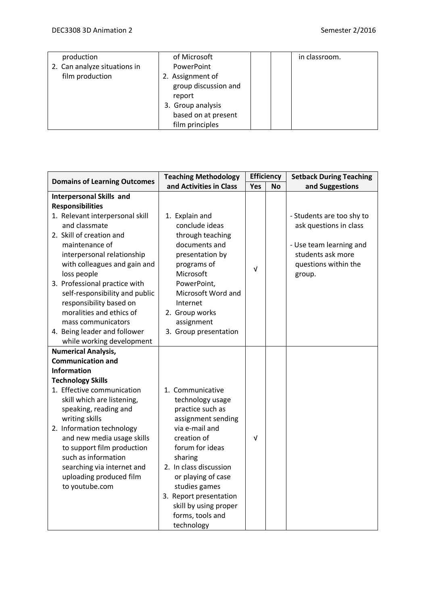| production                   | of Microsoft         |  | in classroom. |
|------------------------------|----------------------|--|---------------|
| 2. Can analyze situations in | PowerPoint           |  |               |
| film production              | 2. Assignment of     |  |               |
|                              | group discussion and |  |               |
|                              | report               |  |               |
|                              | 3. Group analysis    |  |               |
|                              | based on at present  |  |               |
|                              | film principles      |  |               |

| <b>Domains of Learning Outcomes</b> | <b>Teaching Methodology</b> |            | <b>Efficiency</b> | <b>Setback During Teaching</b> |
|-------------------------------------|-----------------------------|------------|-------------------|--------------------------------|
|                                     | and Activities in Class     | Yes        | <b>No</b>         | and Suggestions                |
| <b>Interpersonal Skills and</b>     |                             |            |                   |                                |
| <b>Responsibilities</b>             |                             |            |                   |                                |
| 1. Relevant interpersonal skill     | 1. Explain and              |            |                   | - Students are too shy to      |
| and classmate                       | conclude ideas              |            |                   | ask questions in class         |
| 2. Skill of creation and            | through teaching            |            |                   |                                |
| maintenance of                      | documents and               |            |                   | - Use team learning and        |
| interpersonal relationship          | presentation by             |            |                   | students ask more              |
| with colleagues and gain and        | programs of                 | ν          |                   | questions within the           |
| loss people                         | Microsoft                   |            |                   | group.                         |
| 3. Professional practice with       | PowerPoint,                 |            |                   |                                |
| self-responsibility and public      | Microsoft Word and          |            |                   |                                |
| responsibility based on             | Internet                    |            |                   |                                |
| moralities and ethics of            | 2. Group works              |            |                   |                                |
| mass communicators                  | assignment                  |            |                   |                                |
| 4. Being leader and follower        | 3. Group presentation       |            |                   |                                |
| while working development           |                             |            |                   |                                |
| <b>Numerical Analysis,</b>          |                             |            |                   |                                |
| <b>Communication and</b>            |                             |            |                   |                                |
| <b>Information</b>                  |                             |            |                   |                                |
| <b>Technology Skills</b>            |                             |            |                   |                                |
| 1. Effective communication          | 1. Communicative            |            |                   |                                |
| skill which are listening,          | technology usage            |            |                   |                                |
| speaking, reading and               | practice such as            |            |                   |                                |
| writing skills                      | assignment sending          |            |                   |                                |
| 2. Information technology           | via e-mail and              |            |                   |                                |
| and new media usage skills          | creation of                 | $\sqrt{ }$ |                   |                                |
| to support film production          | forum for ideas             |            |                   |                                |
| such as information                 | sharing                     |            |                   |                                |
| searching via internet and          | 2. In class discussion      |            |                   |                                |
| uploading produced film             | or playing of case          |            |                   |                                |
| to youtube.com                      | studies games               |            |                   |                                |
|                                     | 3. Report presentation      |            |                   |                                |
|                                     | skill by using proper       |            |                   |                                |
|                                     | forms, tools and            |            |                   |                                |
|                                     | technology                  |            |                   |                                |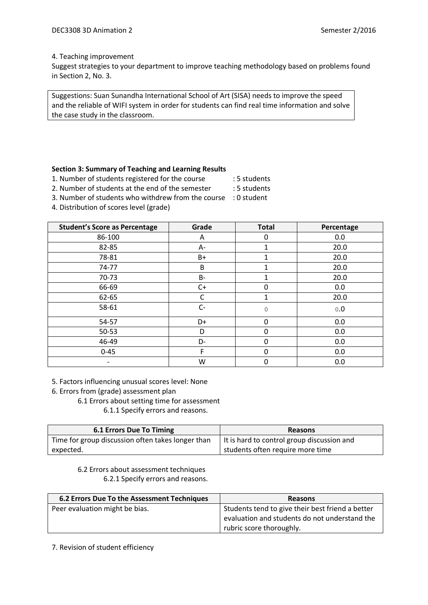### 4. Teaching improvement

Suggest strategies to your department to improve teaching methodology based on problems found in Section 2, No. 3.

Suggestions: Suan Sunandha International School of Art (SISA) needs to improve the speed and the reliable of WIFI system in order for students can find real time information and solve the case study in the classroom.

### **Section 3: Summary of Teaching and Learning Results**

1. Number of students registered for the course : 5 students

- 2. Number of students at the end of the semester : 5 students
- 3. Number of students who withdrew from the course : 0 student
- 4. Distribution of scores level (grade)

| <b>Student's Score as Percentage</b> | Grade     | <b>Total</b> | Percentage |
|--------------------------------------|-----------|--------------|------------|
| 86-100                               | A         | 0            | 0.0        |
| 82-85                                | А-        | 1            | 20.0       |
| 78-81                                | B+        |              | 20.0       |
| 74-77                                | B         | 1            | 20.0       |
| $70-73$                              | <b>B-</b> | 1            | 20.0       |
| 66-69                                | $C+$      | $\mathbf{0}$ | 0.0        |
| 62-65                                | C         | 1            | 20.0       |
| 58-61                                | $C -$     | 0            | 0.0        |
| 54-57                                | D+        | 0            | 0.0        |
| $50 - 53$                            | D         | $\Omega$     | 0.0        |
| 46-49                                | D-        | $\Omega$     | 0.0        |
| $0 - 45$                             | F         | 0            | 0.0        |
|                                      | W         | 0            | 0.0        |

- 5. Factors influencing unusual scores level: None
- 6. Errors from (grade) assessment plan
	- 6.1 Errors about setting time for assessment

6.1.1 Specify errors and reasons.

| <b>6.1 Errors Due To Timing</b>                   | <b>Reasons</b>                             |
|---------------------------------------------------|--------------------------------------------|
| Time for group discussion often takes longer than | It is hard to control group discussion and |
| expected.                                         | students often require more time           |

6.2 Errors about assessment techniques 6.2.1 Specify errors and reasons.

| 6.2 Errors Due To the Assessment Techniques | <b>Reasons</b>                                   |
|---------------------------------------------|--------------------------------------------------|
| Peer evaluation might be bias.              | Students tend to give their best friend a better |
|                                             | evaluation and students do not understand the    |
|                                             | rubric score thoroughly.                         |

7. Revision of student efficiency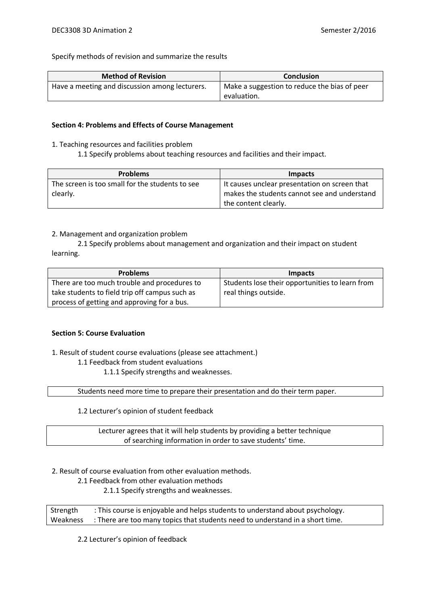Specify methods of revision and summarize the results

| <b>Method of Revision</b>                      | <b>Conclusion</b>                            |
|------------------------------------------------|----------------------------------------------|
| Have a meeting and discussion among lecturers. | Make a suggestion to reduce the bias of peer |
|                                                | evaluation.                                  |

#### **Section 4: Problems and Effects of Course Management**

- 1. Teaching resources and facilities problem
	- 1.1 Specify problems about teaching resources and facilities and their impact.

| <b>Problems</b>                                 | Impacts                                       |
|-------------------------------------------------|-----------------------------------------------|
| The screen is too small for the students to see | It causes unclear presentation on screen that |
| clearly.                                        | makes the students cannot see and understand  |
|                                                 | the content clearly.                          |

### 2. Management and organization problem

2.1 Specify problems about management and organization and their impact on student learning.

| <b>Problems</b>                                | Impacts                                         |
|------------------------------------------------|-------------------------------------------------|
| There are too much trouble and procedures to   | Students lose their opportunities to learn from |
| take students to field trip off campus such as | real things outside.                            |
| process of getting and approving for a bus.    |                                                 |

### **Section 5: Course Evaluation**

1. Result of student course evaluations (please see attachment.)

### 1.1 Feedback from student evaluations

1.1.1 Specify strengths and weaknesses.

Students need more time to prepare their presentation and do their term paper.

1.2 Lecturer's opinion of student feedback

Lecturer agrees that it will help students by providing a better technique of searching information in order to save students' time.

2. Result of course evaluation from other evaluation methods.

2.1 Feedback from other evaluation methods

2.1.1 Specify strengths and weaknesses.

Strength : This course is enjoyable and helps students to understand about psychology. Weakness : There are too many topics that students need to understand in a short time.

2.2 Lecturer's opinion of feedback